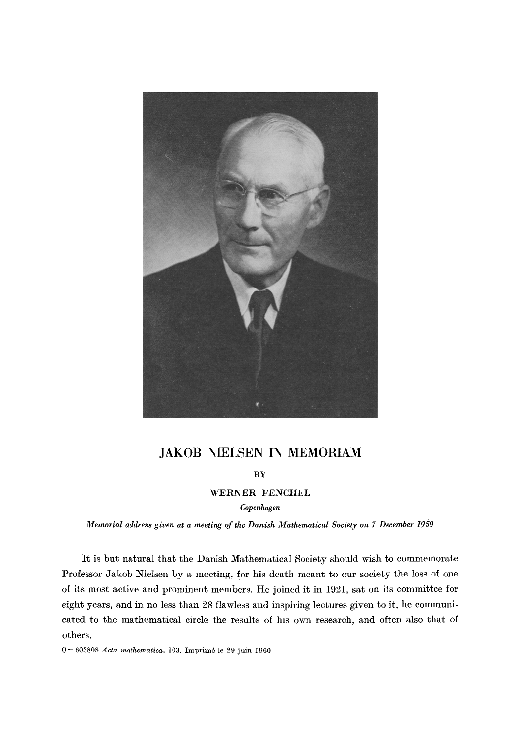

# **JAKOB NIELSEN IN MEMORIAM**

BY

WERNER FENCHEL

*Copenhagen* 

*Memorial address given at a meeting of the Danish Mathematical Society on 7 December 1959* 

It is but natural that the Danish Mathematical Society should wish to commemorate Professor Jakob Nielsen by a meeting, for his death meant to our society the loss of one of its most active and prominent members. He joined it in 1921, sat on its committee for eight years, and in no less than 28 flawless and inspiring lectures given to it, he communicated to the mathematical circle the results of his own research, and often also that of others.

0-603808 *Acta mathematica*. 103. Imprimé le 29 juin 1960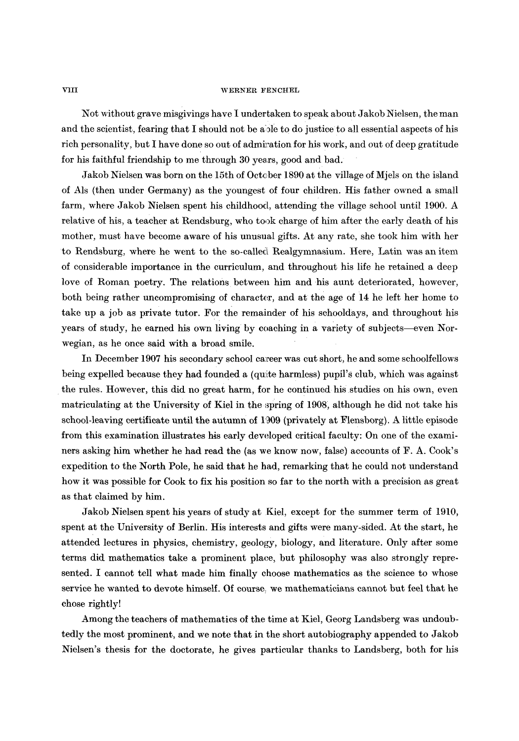## VIII WERNER FENCHEL

Not without grave misgivings have I undertaken to speak about Jakob Nielsen, the man and the scientist, fearing that I should not be able to do justice to all essential aspects of his rich personality, but I have done so out of admiration for his work, and out of deep gratitude for his faithful friendship to me through 30 years, good and bad.

Jakob Nielsen was born on the 15th of Octcber 1890 at the village of Mjels on the island of Als (then under Germany) as the youngest of four children. His father owned a small farm, where Jakob Nielsen spent his childhood, attending the village school until 1900. A relative of his, a teacher at Rendsburg, who took charge of him after the early death of his mother, must have become aware of his unusual gifts. At any rate, she took him with her to Rendsburg, where he went to the so-called Realgymnasium. Here, Latin was an item of considerable importance in the curriculum, and throughout his life he retained a deep love of Roman poetry. The relations between him and his aunt deteriorated, however, both being rather uncompromising of character, and at the age of 14 he left her home to take up a job as private tutor. For the remainder of his schooldays, and throughout his years of study, he earned his own living by coaching in a variety of subjects--even Norwegian, as he once said with a broad smile.

In December 1907 his secondary school career was cut short, he and some schoolfellows being expelled because they had founded a (qu:ite harmless) pupil's club, which was against the rules. However, this did no great harm, for he continued his studies on his own, even matriculating at the University of Kiel in the spring of 1908, although he did not take his school-leaving certificate until the autumn of 1909 (privately at Flensborg). A little episode from this examination illustrates his early developed critical faculty: On one of the examiners asking him whether he had read the (as we know now, false) accounts of F. A. Cook's expedition to the North Pole, he said that he had, remarking that he could not understand how it was possible for Cook to fix his position so far to the north with a precision as great as that claimed by him.

Jakob Nielsen spent his years of study at Kiel, except for the summer term of 1910, spent at the University of Berlin. His interests and gifts were many-sided. At the start, he attended lectures in physics, chemistry, geology, biology, and literature. 0nly after some terms did mathematics take a prominent place, but philosophy was also strongly represented. I cannot tell what made him finally choose mathematics as the science to whose service he wanted to devote himself. Of course: we mathematicians cannot but feel that he chose rightly!

Among the teachers of mathematics of the time at Kiel, Georg Landsberg was undoubtedly the most prominent, and we note that in the short autobiography appended to Jakob Nielsen's thesis for the doctorate, he gives particular thanks to Landsberg, both for his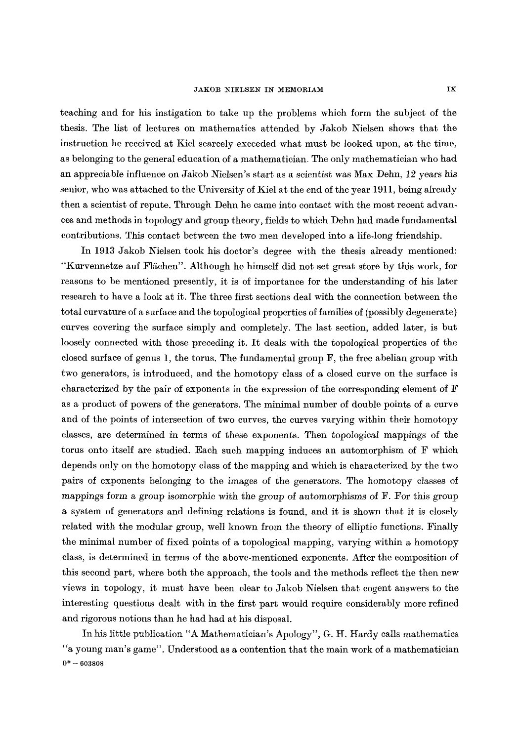teaching and for his instigation to take up the problems which form the subject of the thesis. The list of lectures on mathematics attended by Jakob Nielsen shows that the instruction he received at Kiel scarcely exceeded what must be looked upon, at the time, as belonging to the general education of a mathematician. The only mathematician who had an appreciable influence on Jakob Nielsen's start as a scientist was Max Dehn, 12 years his senior, who was attached to the University of Kiel at the end of the year 1911, being already then a scientist of repute. Through Dehn he came into contact with the most recent advances and methods in topology and group theory, fields to which Dehn had made fundamental contributions. This contact between the two men developed into a life-long friendship.

In 1913 Jakob Nielsen took his doctor's degree with the thesis already mentioned: "Kurvennetze auf Flächen". Although he himself did not set great store by this work, for reasons to be mentioned presently, it is of importance for the understanding of his later research to have a look at it. The three first sections deal with the connection between the total curvature of a surface and the topological properties of families of (possibly degenerate) curves covering the surface simply and completely. The last section, added later, is but loosely connected with those preceding it. It deals with the topological properties of the closed surface of genus 1, the torus. The fundamental group F, the free abelian group with two generators, is introduced, and the homotopy class of a closed curve on the surface is characterized by the pair of exponents in the expression of the corresponding element of F as a product of powers of the generators. The minimal number of double points of a curve and of the points of intersection of two curves, the curves varying within their homotopy classes, are determined in terms of these exponents. Then topological mappings of the torus onto itself are studied. Each such mapping induces an automorphism of F which depends only on the homotopy class of the mapping and which is characterized by the two pairs of exponents belonging to the images of the generators. The homotopy classes of mappings form a group isomorphic with the group of automorphisms of F. For this group a system of generators and defining relations is found, and it is shown that it is closely related with the modular group, well known from the theory of elliptic functions. Finally the minimal number of fixed points of a topological mapping, varying within a homotopy class, is determined in terms of the above-mentioned exponents. After the composition of this second part, where both the approach, the tools and the methods reflect the then new views in topology, it must have been clear to Jakob Nielsen that cogent answers to the interesting questions dealt with in the first part would require considerably more refined and rigorous notions than he had had at his disposal.

In his little publication *"A* Mathematician's Apology", G. H. Hardy calls mathematics "a young man's game". Understood as a contention that the main work of a mathematician  $0* - 603808$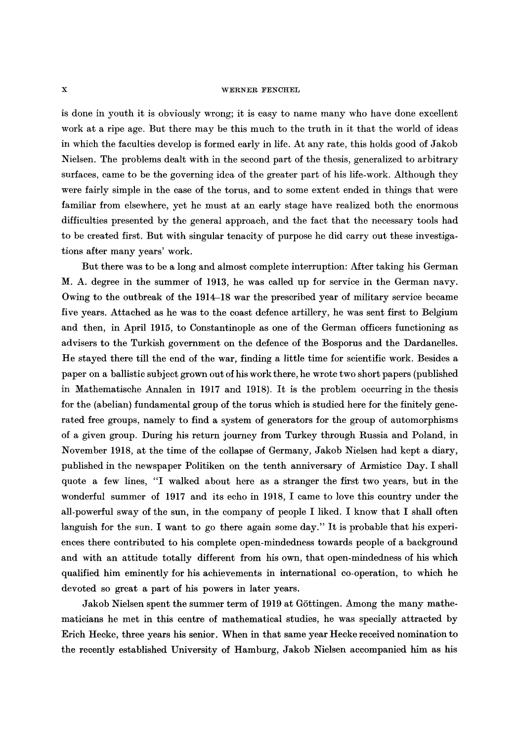# X WERNER FENCHEL

is done in youth it is obviously wrong; it is easy to name many who have done excellent work at a ripe age. But there may be this much to the truth in it that the world of ideas in which the faculties develop is formed early in life. At any rate, this holds good of Jakob Nielsen. The problems dealt with in the second part of the thesis, generalized to arbitrary surfaces, came to be the governing idea of the greater part of his life-work. Although they were fairly simple in the case of the torus, and to some extent ended in things that were familiar from elsewhere, yet he must at an early stage have realized both the enormous difficulties presented by the general approach, and the fact that the necessary tools had to be created first. But with singular tenacity of purpose he did carry out these investigations after many years' work.

But there was to be a long and almost complete interruption: After taking his German M. A. degree in the summer of 1913, he was called up for service in the German navy. Owing to the outbreak of the 1914-18 war the prescribed year of military service became five years. Attached as he was to the coast defence artillery, he was sent first to Belgium and then, in April 1915, to Constantinople as one of the German officers functioning as advisers to the Turkish government on the defence of the Bosporus and the Dardanelles. He stayed there till the end of the war, finding a little time for scientific work. Besides a paper on a ballistic subject grown out of his work there, he wrote two short papers (published in Mathematisehe Annalen in 1917 and 1918). It is the problem occurring in the thesis for the (abelian) fundamental group of the torus which is studied here for the finitely generated free groups, namely to find a system of generators for the group of automorphisms of a given group. During his return journey from Turkey through Russia and Poland, in November 1918, at the time of the collapse of Germany, Jakob Nielsen had kept a diary, published in the newspaper Politiken on the tenth anniversary of Armistice Day. I shall quote a few lines, "I walked about here as a stranger the first two years, but in the wonderful summer of 1917 and its echo in 1918, I came to love this country under the all-powerful sway of the sun, in the company of people I liked. I know that I shall often languish for the sun. I want to go there again some day." It is probable that his experiences there contributed to his complete open-mindedness towards people of a background and with an attitude totally different from his own, that open-mindedness of his which qualified him eminently for his achievements in international co-operation, to which he devoted so great a part of his powers in later years.

Jakob Nielsen spent the summer term of 1919 at Göttingen. Among the many mathematicians he met in this centre of mathematical studies, he was specially attracted by Erich Hecke, three years his senior. When in that same year Hecke received nomination to the recently established University of Hamburg, Jakob Nielsen accompanied him as his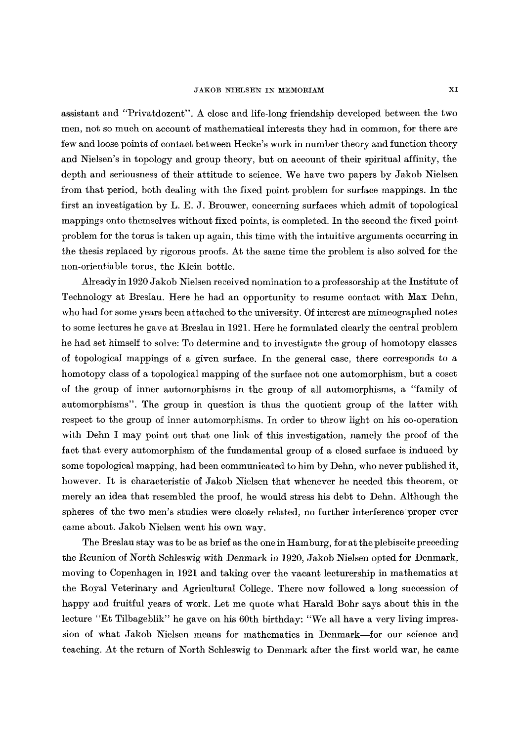assistant and "Privatdozent". A close and life-long friendship developed between the two men, not so much on account of mathematical interests they had in common, for there are few and loose points of contact between Hecke's work in number theory and function theory and Nielsen's in topology and group theory, but on account of their spiritual affinity, the depth and seriousness of their attitude to science. We have two papers by Jakob Nielsen from that period, both dealing with the fixed point problem for surface mappings. In the first an investigation by L. E. J. Brouwer, concerning surfaces which admit of topological mappings onto themselves without fixed points, is completed. In the second the fixed point problem for the torus is taken up again, this time with the intuitive arguments occurring in the thesis replaced by rigorous proofs. At the same time the problem is also solved for the non-orientiable torus, the Klein bottle.

Already in 1920 Jakob Nielsen received nomination to a professorship at the Institute of Technology at Breslau. Here he had an opportunity to resume contact with Max I)ehn, who had for some years been attached to the university. Of interest are mimeographed notes to some lectures he gave at Breslau in 1921. Here he formulated clearly the central problem he had set himself to solve: To determine and to investigate the group of homotopy classes of topological mappings of a given surface. In the general case, there corresponds to a homotopy class of a topological mapping of the surface not one automorphism, but a coset of the group of inner automorphisms in the group of all automorphisms, a "family of automorphisms". The group in question is thus the quotient group of the latter with respect to the group of inner automorphisms. In order to throw light on his co-operation with Dehn I may point out that one link of this investigation, namely the proof of the fact that every automorphism of the fundamental group of a closed surface is induced by some topological mapping, had been communicated to him by Dehn, who never published it, however. It is characteristic of Jakob Nielsen that whenever he needed this theorem, or merely an idea that resembled the proof, he would stress his debt to Dehn. Although the spheres of the two men's studies were closely related, no further interference proper ever came about. Jakob Nielsen went his own way.

The Breslau stay was to be as brief as the one in Hamburg, for at the plebiscite preceding the Reunion of North Schleswig with Denmark in 1920, Jakob Nielsen opted for Denmark, moving to Copenhagen in 1921 and taking over the vacant lecturership in mathematics at the Royal Veterinary and Agricultural College. There now followed a long succession of happy and fruitful years of work. Let me quote what Harald Bohr says about this in the lecture *"Et* Tilbageblik" he gave on his 60th birthday: *"We* all have a very living impression of what Jakob Nielsen means for mathematics in Denmark—for our science and teaching. At the return of North Schleswig to Denmark after the first world war, he came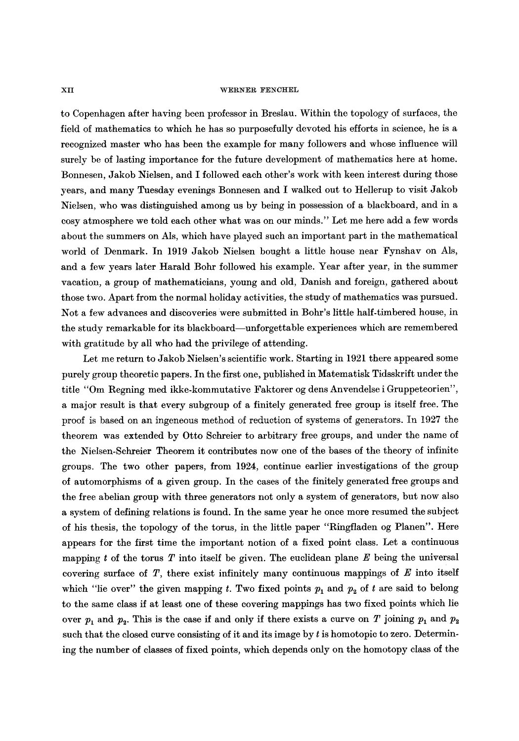#### XII WERNER FENCHEL

to Copenhagen after having been professor in Breslau. Within the topology of surfaces, the field of mathematics to which he has so purposefully devoted his efforts in science, he is a recognized master who has been the example for many followers and whose influence will surely be of lasting importance for the future development of mathematics here at home. Bonnesen, Jakob Nielsen, and I followed each other's work with keen interest during those years, and many Tuesday evenings Bonnesen and I walked out to Hellerup to visit Jakob Nielsen, who was distinguished among us by being in possession of a blackboard, and in a cosy atmosphere we told each other what was on our minds." Let me here add a few words about the summers on Als, which have played such an important part in the mathematical world of Denmark. In 1919 Jakob Nielsen bought a little house near Fynshav on Als, and a few years later Harald Bohr followed his example. Year after year, in the summer vacation, a group of mathematicians, young and old, Danish and foreign, gathered about those two. Apart from the normal holiday activities, the study of mathematics was pursued. Not a few advances and discoveries were submitted in Bohr's little half-timbered house, in the study remarkable for its blackboard--unforgettable experiences which are remembered with gratitude by all who had the privilege of attending.

Let me return to Jakob Nielsen's scientific work. Starting in 1921 there appeared some purely group theoretic papers. In the first one, published in Matematisk Tidsskrift under the title "Om Regning med ikke-kommutative Faktorer og dens Anvendelse i Gruppeteorien", a major result is that every subgroup of a finitely generated free group is itself free. The proof is based on an ingeneous method of reduction of systems of generators. In 1927 the theorem was extended by Otto Schreier to arbitrary free groups, and under the name of the Nielsen-Schreier Theorem it contributes now one of the bases of the theory of infinite groups. The two other papers, from 1924, continue earlier investigations of the group of automorphisms of a given group. In the cases of the finitely generated free groups and the free abelian group with three generators not only a system of generators, but now also a system of defining relations is found. In the same year he once more resumed the subject of his thesis, the topology of the torus, in the little paper "Ringfladen og Planen". Here appears for the first time the important notion of a fixed point class. Let a continuous mapping  $t$  of the torus  $T$  into itself be given. The euclidean plane  $E$  being the universal covering surface of  $T$ , there exist infinitely many continuous mappings of  $E$  into itself which "lie over" the given mapping t. Two fixed points  $p_1$  and  $p_2$  of t are said to belong to the same class if at least one of these covering mappings has two fixed points which lie over  $p_1$  and  $p_2$ . This is the case if and only if there exists a curve on T joining  $p_1$  and  $p_2$ such that the closed curve consisting of it and its image by  $t$  is homotopic to zero. Determining the number of classes of fixed points, which depends only on the homotopy class of the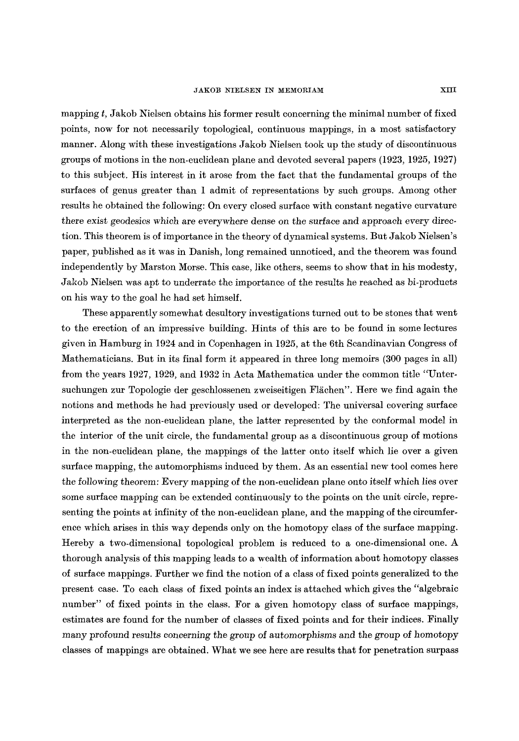## JAKOB NIELSEN IN MEMORIAM XIII

mapping t, Jakob Nielsen obtains his former result concerning the minimal number of fixed points, now for not necessarily topological, continuous mappings, in a most satisfactory manner. Along with these investigations Jakob Nielsen took up the study of discontinuous groups of motions in the non-euclidean plane and devoted several papers (1923, 1925, 1927) to this subject. His interest in it arose from the fact that the fundamental groups of the surfaces of genus greater than 1 admit of representations by such groups. Among other results he obtained the following: On every closed surface with constant negative curvature there exist geodesics which are everywhere dense on the surface and approach every direction. This theorem is of importance in the theory of dynamical systems. But Jakob Nielsen's paper, published as it was in Danish, long remained unnoticed, and the theorem was found independently by Marston Morse. This case, like others, seems to show that in his modesty, Jakob Nielsen was apt to underrate the importance of the results he reached as bi-products on his way to the goal he had set himself.

These apparently somewhat desultory investigations turned out to be stones that went to the erection of an impressive building. Hints of this are to be found in some lectures given in Hamburg in 1924 and in Copenhagen in 1925, at the 6th Scandinavian Congress of Mathematicians. But in its final form it appeared in three long memoirs (300 pages in all) from the years 1927, 1929, and 1932 in Acta Mathematica under the common title "Untersuchungen zur Topologie der geschlossenen zweiseitigen Flächen". Here we find again the notions and methods he had previously used or developed: The universal covering surface interpreted as the non-euclidean plane, the latter represented by the eonformal model in the interior of the unit circle, the fundamental group as a discontinuous group of motions in the non-euclidean plane, the mappings of the latter onto itself which lie over a given surface mapping, the automorphisms induced by them. As an essential new tool comes here the following theorem: Every mapping of the non-euclidean plane onto itself which lies over some surface mapping can be extended continuously to the points on the unit circle, representing the points at infinity of the non-euclidean plane, and the mapping of the circumference which arises in this way depends only on the homotopy class of the surface mapping. Hereby a two-dimensional topological problem is reduced to a one-dimensional one. A thorough analysis of this mapping leads to a wealth of information about homotopy classes of surface mappings. Further we find the notion of a class of fixed points generalized to the present case. To each class of fixed points an index is attached which gives the *"algebraic*  number" of fixed points in the class. For a given homotopy class of surface mappings, estimates are found for the number of classes of fixed points and for their indices. Finally many profound results *concerning* the group of automorphisms and the group of homotopy classes of mappings are obtained. What we see here are results that for penetration surpass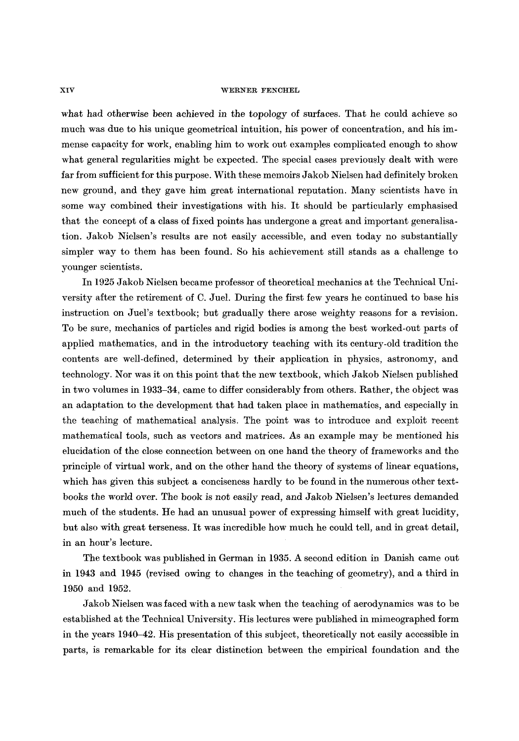## XIV WERNER FENCHEL

what had otherwise been achieved in the topology of surfaces. That he could achieve so much was due to his unique geometrical intuition, his power of concentration, and his immense capacity for work, enabling him to work out examples complicated enough to show what general regularities might be expected. The special cases previously dealt with were far from sufficient for this purpose. With these memoirs Jakob Nielsen had definitely broken new ground, and they gave him great international reputation. Many scientists have in some way combined their investigations with his. It should be particularly emphasised that the concept of a class of fixed points has undergone a great and important generalisation. Jakob Nielsen's results are not easily accessible, and even today no substantially simpler way to them has been found. So his achievement still stands as a challenge to younger scientists.

In 1925 Jakob Nielsen became professor of theoretical mechanics at the Technical University after the retirement of C. Juel. During the first few years he continued to base his instruction on Juel's textbook; but gradually there arose weighty reasons for a revision. To be sure, mechanics of particles and rigid bodies is among the best worked-out parts of applied mathematics, and in the introductory teaching with its century-old tradition the contents are well-defined, determined by their application in physics, astronomy, and technology. Nor was it on this point that the new textbook, which Jakob Nielsen published in two volumes in 1933-34, came to differ considerably from others. Rather, the object was an adaptation to the development that had taken place in mathematics, and especially in the teaching of mathematical analysis. The point was to introduce and exploit recent mathematical tools, such as vectors and matrices. As an example may be mentioned his elucidation of the close connection between on one hand the theory of frameworks and the principle of virtual work, and on the other hand the theory of systems of linear equations, which has given this subject a conciseness hardly to be found in the numerous other textbooks the world over. The book is not easily read, and Jakob Nielsen's lectures demanded much of the students. He had an unusual power of expressing himself with great lucidity, but also with great terseness. It was incredible how much he could tell, and in great detail, in an hour's lecture.

The textbook was published in German in 1935. A second edition in Danish came out in 1943 and 1945 (revised owing to changes in the teaching of geometry), and a third in 1950 and 1952.

Jakob Nielsen was faced with a new task when the teaching of aerodynamics was to be established at the Technical University. His lectures were published in mimeographed form in the years 1940-42. His presentation of this subject, theoretically not easily accessible in parts, is remarkable for its clear distinction between the empirical foundation and the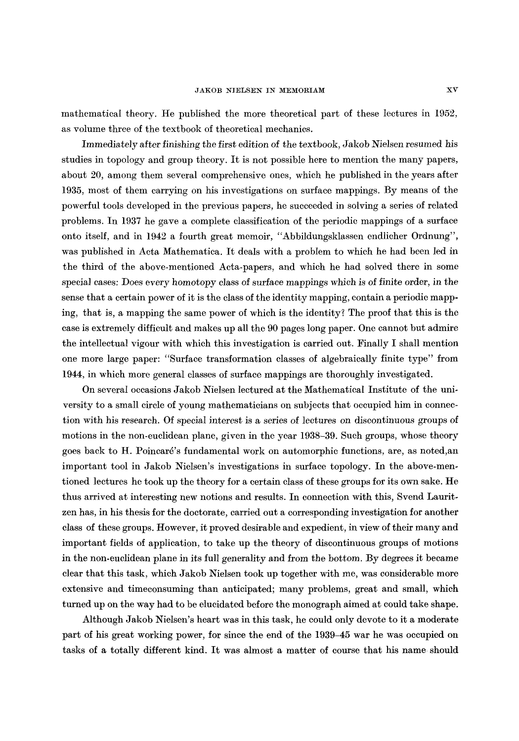mathematical theory. He published the more theoretical part of these lectures in 1952, as volume three of the textbook of theoretical mechanics.

Immediately after finishing the first edition of the textbook, Jakob Nielsen resumed his studies in topology and group theory. It is not possible here to mention the many papers, about 20, among them several comprehensive ones, which he published in the years after 1935, most of them carrying on his investigations on surface mappings. By means of the powerful tools developed in the previous papers, he succeeded in solving a series of related problems. In 1937 he gave a complete classification of the periodic mappings of a surface onto itself, and in 1942 a fourth great memoir, "Abbildungsklassen endlicher 0rdnung", was published in Acta Mathematica. It deals with a problem to which he had been led in the third of the above-mentioned Acta-papers, and which he had solved there in some special cases: Does every homotopy class of surface mappings which is of finite order, in the sense that a certain power of it is the class of the identity mapping, contain a periodic mapping, that is, a mapping the same power of which is the identity? The proof that this is the case is extremely difficult and makes up all the 90 pages long paper. One cannot but admire the intellectual vigour with which this investigation is carried out. Finally I shall mention one more large paper: "Surface transformation classes of algebraically finite type" from 1944, in which more general classes of surface mappings are thoroughly investigated.

On several occasions Jakob Nielsen lectured at the Mathematical Institute of the university to a small circle of young mathematicians on subjects that occupied him in connection with his research. Of special interest is a series of lectures on discontinuous groups of motions in the non-euclidean plane, given in the year 1938-39. Such groups, whose theory goes back to H. Poincard's fundamental work on automorphic functions, are, as noted,an important tool in Jakob Nielsen's investigations in surface topology. In the above-mentioned lectures he took up the theory for a certain class of these groups for its own sake. He thus arrived at interesting new notions and results. In connection with this, Svend Lauritzen has, in his thesis for the doctorate, carried out a corresponding investigation for another class of these groups. However, it proved desirable and expedient, in view of their many and important fields of application, to take up the theory of discontinuous groups of motions in the non-euclidean plane in its full generality and from the bottom. By degrees it became clear that this task, which Jakob Nielsen took up together with me, was considerable more extensive and timeconsuming than anticipated; many problems, great and small, which turned up on the way had to be elucidated before the monograph aimed at could take shape.

Although Jakob Nielsen's heart was in this task, he could only devote to it a moderate part of his great working power, for since the end of the 1939-45 war he was occupied on tasks of a totally different kind. It was almost a matter of course that his name should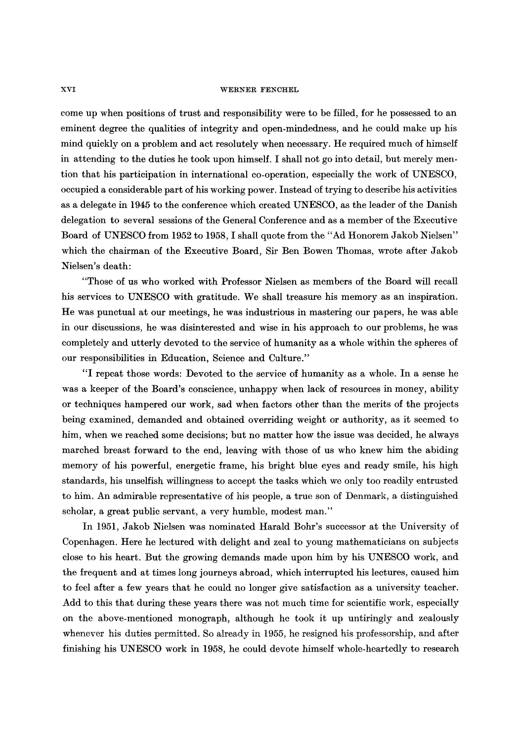## XVI WERNER FENCHEL

come up when positions of trust and responsibility were to be filled, for he possessed to an eminent degree the qualities of integrity and open-mindedness, and he could make up his mind quickly on a problem and act resolutely when necessary. He required much of himself in attending to the duties he took upon himself. I shall not go into detail, but merely mention that his participation in international co-operation, especially the work of UNESCO, occupied a considerable part of his working power. Instead of trying to describe his activities as a delegate in 1945 to the conference which created UNESCO, as the leader of the Danish delegation to several sessions of the General Conference and as a member of the Executive Board of UNESCO from 1952 to 1958, I shall quote from the *"Ad* Honorem Jakob Nielsen" which the chairman of the Executive Board, Sir Ben Bowen Thomas, wrote after Jakob Nielsen's death:

"Those of us who worked with Professor Nielsen as members of the Board will recall his services to UNESCO with gratitude. We shall treasure his memory as an inspiration. He was punctual at our meetings, he was industrious in mastering our papers, he was able in our discussions, he was disinterested and wise in his approach to our problems, he was completely and utterly devoted to the service of humanity as a whole within the spheres of our responsibilities in Education, Science and Culture."

"I repeat those words: Devoted to the service of humanity as a whole. In a sense he was a keeper of the Board's conscience, unhappy when lack of resources in money, ability or techniques hampered our work, sad when factors other than the merits of the projects being examined, demanded and obtained overriding weight or authority, as it seemed to him, when we reached some decisions; but no matter how the issue was decided, he always marched breast forward to the end, leaving with those of us who knew him the abiding memory of his powerful, energetic frame, his bright blue eyes and ready smile, his high standards, his unselfish willingness to accept the tasks which we only too readily entrusted to him. An admirable representative of his people, a true son of Denmark, a distinguished scholar, a great public servant, a very humble, modest man."

In 1951, Jakob Nielsen was nominated Harald Bohr's successor at the University of Copenhagen. Here he lectured with delight and zeal to young mathematicians on subjects close to his heart. But the growing demands made upon him by his UNESCO work, and the frequent and at times long journeys abroad, which interrupted his lectures, caused him to feel after a few years that he could no longer give satisfaction as a university teacher. Add to this that during these years there was not much time for scientific work, especially on the above-mentioned monograph, although he took it up untiringly' and zealously whenever his duties permitted. So already in 1955, he resigned his professorship, and after finishing his UNESCO work in 1958, he could devote himself whole-heartedly to research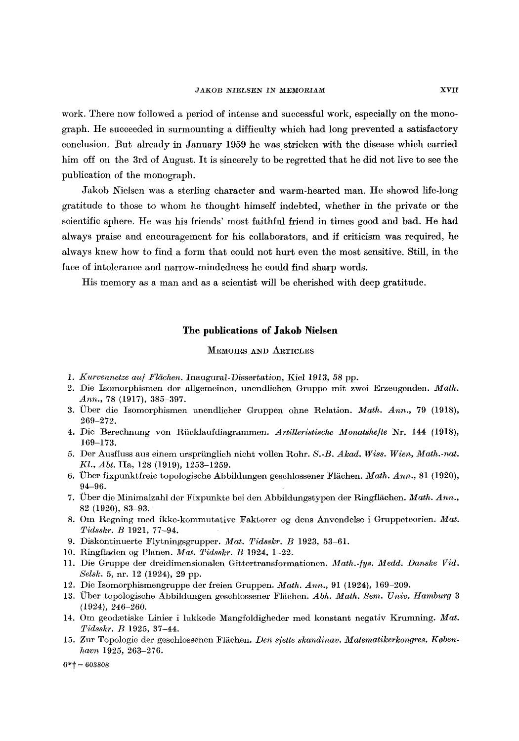work. There now followed a period of intense and successful work, especially on the monograph. He succeeded in surmounting a difficulty which had long prevented a satisfactory conclusion. But already in January 1959 he was stricken with the disease which carried him off on the 3rd of August. It is sincerely to be regretted that he did not live to see the publication of the monograph.

Jakob Nielsen was a sterling character and warm-hearted man. He showed life-long gratitude to those to whom he thought himself indebted, whether in the private or the scientific sphere. He was his friends' most faithful friend in times good and bad. He had always praise and encouragement for his collaborators, and if criticism was required, he always knew how to find a form that could not hurt even the most sensitive. Still, in the face of intolerance and narrow-mindedness he could find sharp words.

His memory as a man and as a scientist will be cherished with deep gratitude.

# **The publications of Jakob Nielsen**

# MEMOIRS AND ARTICLES

- 1. Kurvennetze auf Flächen. Inaugural-Dissertation, Kiel 1913, 58 pp.
- 2. Die Isomorphismen der allgemeinen, unendlichen Gruppe mit zwei Erzeugenden. *Math.*  Ann., 78 (1917), 385-397.
- 3. Ober die Isomorphismen unendlicher Gruppen ohne Relation. *Math. Ann.,* 79 (1918), 269-272.
- 4. Die Berechnung yon Rficklaufdiagrammen. *Artilleristische Monatshe]te* Nr. 144 (1918), 169-173.
- 5. Der Ausfluss aus einem urspriinglich nicht vollen Rohr. *S.-B. Akad. Wiss. Wien, Math.-nat. Kl., Abt.* IIa, 128 (1919), 1253-1259.
- 6. Über fixpunktfreie topologische Abbildungen geschlossener Flächen. *Math. Ann.*, 81 (1920), 94-96.
- 7. Über die Minimalzahl der Fixpunkte bei den Abbildungstypen der Ringflächen. *Math. Ann.*, 82 (1920), 83-93.
- 8. Om Regning med ikke-kommutative Faktorer og dens Anvendelse i Gruppeteorien. *Mat. Tidsskr. B* 1921, 77-94.
- 9. Diskontinuerte Flytningsgrupper. *Mat. Tidsskr. B* 1923, 53-61.
- 10. Ringfladen og Planen. *Mat. Tidsskr. B* 1924, 1-22.
- 11. Die Gruppe der dreidimensionalen Gittertransformationen. *Math.-]ys, Medal. Danske Vid. Selsk.* 5, hr. 12 (1924), 29 pp.
- 12. Die Isomorphismengruppe der freien Gruppen. *Math. Ann.*, 91 (1924), 169-209.
- 13. Uber topologische Abbildungen geschlossener F1/ichen. *Abh. Math. Sere. Univ. Hamburg 3*  (1924), 246-260.
- 14. Om geodætiske Linier i lukkede Mangfoldigheder med konstant negativ Krumning. Mat. *Tidsskr. B* 1925, 37-44.
- 15. Zur Topologie der geschlossenen Flächen. Den sjette skandinav. Matematikerkongres, Køben*havn* 1925, 263-276.

 $0* + -603808$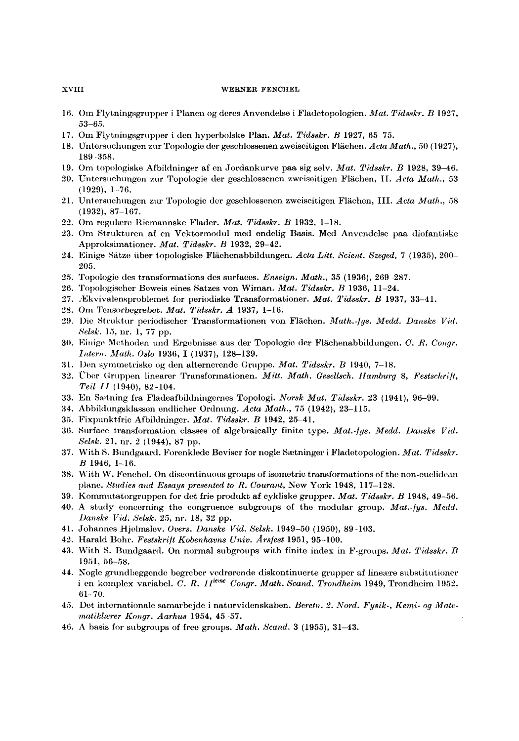#### XVIII WERNER FENCHEL

- 16. Om Flytningsgrul)pcr i Planen og deres Anvendelse i Fladetopologien. *Mat. Tidsskr.* B 1927, 53-65.
- 17. Om Flytningsgrupper i den hyperbolske Plan. *Mat. Tidsskr. B* 1927, 65 75.
- I8. Untcrsuchungen zur Topologie der geschlossenen zweiseitigen Fl/ichen. *Acta Math.,* 50 (1927), 189 358.
- 19. Om topolegiske Afbildninger af an Jordankurve paa sig selv. *Mat. Tidsskr. B* 1928, 39-46.
- 20. Untersuchungcn zur Topologie der geschlossenen zweiseitigen Fliichen, II. *Acta Math.* 53 (1929), 1--76.
- 21. Untersuchungen zur Topologie der geschlossenen zweiscitigen Flächen, III. *Acta Math.*, 58 (1932), 87-167.
- 22. Om regula~re Riemannske Flader. *Mat. Tidsslcr. B* 1932, 1-18.
- 23. Om Strukturen af en Vektormodul med endelig Basis. Med Anvendelse paa diofantiske Approksimationer. *Mat. Tidsskr. B* 1932, 29-42.
- 24. Einige S/itze iiber topologiske Fliichenabbildungen. *Acta Lift. Scient. Szeged,* 7 (1935), 200- 205.
- 25. Topologie ties transformations des surfaces. *Enseign. Math.,* 35 (1936), 269 287.
- 26. Tol)ologischcr Bowels mines Satzes von Wiman. *Mat. Tizlsskr. B* 1936, 11-24.
- 27. :Ekvivalensproblemet for periodiske Transformationer. *Mag. Tidsskr. B* 1937, 33-41.
- 28. Om Tensorbegrebet. *Mat. Tidsskr. A* 1937, 1-16.
- '29. l)ic Struktur periodischer Transformationcn yon F1/ichen. *Jllath.-/ys. Medd. Danske Vid. Selsk.* 15, nr. 1, 77 pp.
- 30. Einige Methoden und Ergebnisse aus der Topologie der Flächenabbildungen. C. R. Congr. *Inter1,. Math. Oslo* 1936, I (1937), 128-139.
- 31. l)en syrnmctriskc eg den alterncrende Gruppe. *Mat. Tidsskr. B* 1940, 7-18.
- 32. Über Gruppen linearer Transformationen. *Mitt. Math. Gesellsch. Hamburg 8, Festschrift*, *Teil II* (1940), 82-104.
- 33. En Sa~tning fra Fladeafbil(lningcrnes Topologi. *Norsk Mat. Tidsskr.* 23 (1941), 96-99.
- 34. Abbildungsklassen endlicher Ordnung. Acta Math., 75 (1942), 23-115.
- 35. Fixpunktfric Afbildninger. *Mat. Tidsskr. B* 1942, 25-41.
- 36. Surface transformation classes of algebraically finite type. *Mat.-fys. Medd. Danske Vid. Selsk.* 21, nr. 2 (1944), 87 pp.
- 37. With S. Bundgaard. Forenklede Beviser for nogle Sætninger i Fladetopologien. *Mat. Tidsskr.* **B** 1946, 1-16.
- 38. With W. Fenchel. On discontinuous groups of isometric transformations of the non-cuclidean 1)|ane. *Stadies and Essays presented to R. Couraat,* New York 1948, 117-128.
- 39. Kommutatorgruppen for (let frie produkt af eykliske grupper. *Mat. Tidsskr. B* 1948, 49-56.
- 40. A study concerning the congruence subgroups of the modular group. Mat.-*fys. Medd. Danslce Vial. Selsk.* 25, hr. 18, 32 pp.
- 41. Johannes Hjclmslev. *Overs. Danske Vid. Selsk.* 1949-50 (1950), 89-103.
- 42. Harald Bohr. *Festskrift Kobenhavns Univ. Årsfest* 1951, 95-100.
- 43. With S. Bundgaard. On normal subgroups with finite index in F-groups. *Mat. Tidsskr. B*  1951, 56-58.
- 44. Nogle grundlæggende begreber vedrørende diskontinuerte grupper af lineære substitutioner i en komplex variabel. *C. R. 11<sup>ieme</sup> Congr. Math. Scand. Trondheim* 1949, Trondheim 1952, 61-70.
- 45. Det intcrnationale samarbejde i naturvi(lenskaben. *Bereh~. 2. Nord. Fysik-, Kemi- og Mate- 9 matikl~erer Kongr. Aarhus* 1954, 45 57.
- 46. A basis for subgroups of free groups. *Math. Scand.* 3 (1955), 31-43.